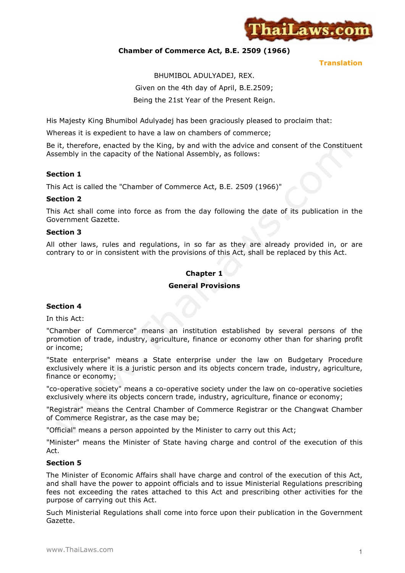

### **Chamber of Commerce Act, B.E. 2509 (1966)**

**Translation**

# BHUMIBOL ADULYADEJ, REX. Given on the 4th day of April, B.E.2509; Being the 21st Year of the Present Reign.

His Majesty King Bhumibol Adulyadej has been graciously pleased to proclaim that:

Whereas it is expedient to have a law on chambers of commerce;

Be it, therefore, enacted by the King, by and with the advice and consent of the Constituent Assembly in the capacity of the National Assembly, as follows:

# **Section 1**

This Act is called the "Chamber of Commerce Act, B.E. 2509 (1966)"

### **Section 2**

This Act shall come into force as from the day following the date of its publication in the Government Gazette.

### **Section 3**

All other laws, rules and regulations, in so far as they are already provided in, or are contrary to or in consistent with the provisions of this Act, shall be replaced by this Act.

# **Chapter 1**

### **General Provisions**

# **Section 4**

In this Act:

"Chamber of Commerce" means an institution established by several persons of the promotion of trade, industry, agriculture, finance or economy other than for sharing profit or income;

"State enterprise" means a State enterprise under the law on Budgetary Procedure exclusively where it is a juristic person and its objects concern trade, industry, agriculture, finance or economy;

"co-operative society" means a co-operative society under the law on co-operative societies exclusively where its objects concern trade, industry, agriculture, finance or economy;

"Registrar" means the Central Chamber of Commerce Registrar or the Changwat Chamber of Commerce Registrar, as the case may be;

"Official" means a person appointed by the Minister to carry out this Act;

"Minister" means the Minister of State having charge and control of the execution of this Act.

### **Section 5**

The Minister of Economic Affairs shall have charge and control of the execution of this Act, and shall have the power to appoint officials and to issue Ministerial Regulations prescribing fees not exceeding the rates attached to this Act and prescribing other activities for the purpose of carrying out this Act.

Such Ministerial Regulations shall come into force upon their publication in the Government Gazette.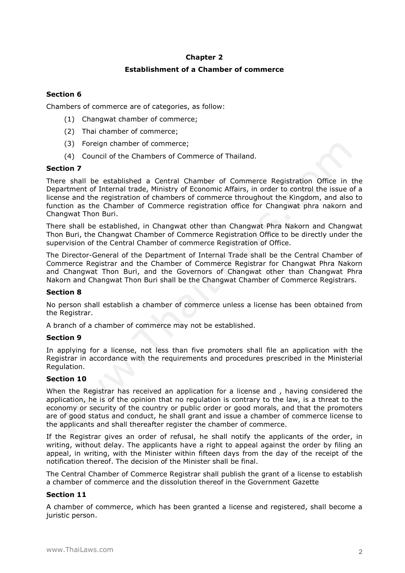### **Chapter 2**

## **Establishment of a Chamber of commerce**

# **Section 6**

Chambers of commerce are of categories, as follow:

- (1) Changwat chamber of commerce;
- (2) Thai chamber of commerce;
- (3) Foreign chamber of commerce;
- (4) Council of the Chambers of Commerce of Thailand.

### **Section 7**

There shall be established a Central Chamber of Commerce Registration Office in the Department of Internal trade, Ministry of Economic Affairs, in order to control the issue of a license and the registration of chambers of commerce throughout the Kingdom, and also to function as the Chamber of Commerce registration office for Changwat phra nakorn and Changwat Thon Buri.

There shall be established, in Changwat other than Changwat Phra Nakorn and Changwat Thon Buri, the Changwat Chamber of Commerce Registration Office to be directly under the supervision of the Central Chamber of commerce Registration of Office.

The Director-General of the Department of Internal Trade shall be the Central Chamber of Commerce Registrar and the Chamber of Commerce Registrar for Changwat Phra Nakorn and Changwat Thon Buri, and the Governors of Changwat other than Changwat Phra Nakorn and Changwat Thon Buri shall be the Changwat Chamber of Commerce Registrars.

### **Section 8**

No person shall establish a chamber of commerce unless a license has been obtained from the Registrar.

A branch of a chamber of commerce may not be established.

### **Section 9**

In applying for a license, not less than five promoters shall file an application with the Registrar in accordance with the requirements and procedures prescribed in the Ministerial Regulation.

# **Section 10**

When the Registrar has received an application for a license and , having considered the application, he is of the opinion that no regulation is contrary to the law, is a threat to the economy or security of the country or public order or good morals, and that the promoters are of good status and conduct, he shall grant and issue a chamber of commerce license to the applicants and shall thereafter register the chamber of commerce.

If the Registrar gives an order of refusal, he shall notify the applicants of the order, in writing, without delay. The applicants have a right to appeal against the order by filing an appeal, in writing, with the Minister within fifteen days from the day of the receipt of the notification thereof. The decision of the Minister shall be final.

The Central Chamber of Commerce Registrar shall publish the grant of a license to establish a chamber of commerce and the dissolution thereof in the Government Gazette

# **Section 11**

A chamber of commerce, which has been granted a license and registered, shall become a juristic person.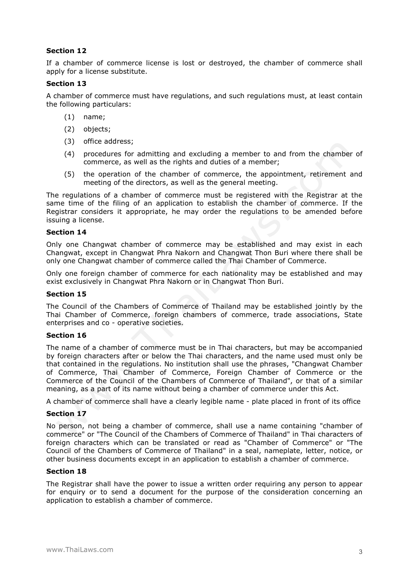If a chamber of commerce license is lost or destroyed, the chamber of commerce shall apply for a license substitute.

### **Section 13**

A chamber of commerce must have regulations, and such regulations must, at least contain the following particulars:

- (1) name;
- (2) objects;
- (3) office address;
- (4) procedures for admitting and excluding a member to and from the chamber of commerce, as well as the rights and duties of a member;
- (5) the operation of the chamber of commerce, the appointment, retirement and meeting of the directors, as well as the general meeting.

The regulations of a chamber of commerce must be registered with the Registrar at the same time of the filing of an application to establish the chamber of commerce. If the Registrar considers it appropriate, he may order the regulations to be amended before issuing a license.

### **Section 14**

Only one Changwat chamber of commerce may be established and may exist in each Changwat, except in Changwat Phra Nakorn and Changwat Thon Buri where there shall be only one Changwat chamber of commerce called the Thai Chamber of Commerce.

Only one foreign chamber of commerce for each nationality may be established and may exist exclusively in Changwat Phra Nakorn or in Changwat Thon Buri.

### **Section 15**

The Council of the Chambers of Commerce of Thailand may be established jointly by the Thai Chamber of Commerce, foreign chambers of commerce, trade associations, State enterprises and co - operative societies.

### **Section 16**

The name of a chamber of commerce must be in Thai characters, but may be accompanied by foreign characters after or below the Thai characters, and the name used must only be that contained in the regulations. No institution shall use the phrases, "Changwat Chamber of Commerce, Thai Chamber of Commerce, Foreign Chamber of Commerce or the Commerce of the Council of the Chambers of Commerce of Thailand", or that of a similar meaning, as a part of its name without being a chamber of commerce under this Act.

A chamber of commerce shall have a clearly legible name - plate placed in front of its office

### **Section 17**

No person, not being a chamber of commerce, shall use a name containing "chamber of commerce" or "The Council of the Chambers of Commerce of Thailand" in Thai characters of foreign characters which can be translated or read as "Chamber of Commerce" or "The Council of the Chambers of Commerce of Thailand" in a seal, nameplate, letter, notice, or other business documents except in an application to establish a chamber of commerce.

### **Section 18**

The Registrar shall have the power to issue a written order requiring any person to appear for enquiry or to send a document for the purpose of the consideration concerning an application to establish a chamber of commerce.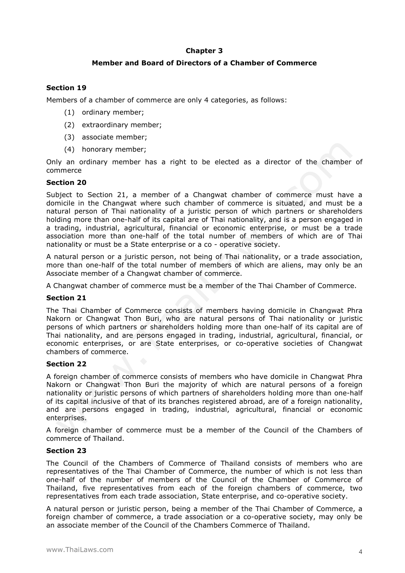### **Chapter 3**

### **Member and Board of Directors of a Chamber of Commerce**

# **Section 19**

Members of a chamber of commerce are only 4 categories, as follows:

- (1) ordinary member;
- (2) extraordinary member;
- (3) associate member;
- (4) honorary member;

Only an ordinary member has a right to be elected as a director of the chamber of commerce

### **Section 20**

Subject to Section 21, a member of a Changwat chamber of commerce must have a domicile in the Changwat where such chamber of commerce is situated, and must be a natural person of Thai nationality of a juristic person of which partners or shareholders holding more than one-half of its capital are of Thai nationality, and is a person engaged in a trading, industrial, agricultural, financial or economic enterprise, or must be a trade association more than one-half of the total number of members of which are of Thai nationality or must be a State enterprise or a co - operative society.

A natural person or a juristic person, not being of Thai nationality, or a trade association, more than one-half of the total number of members of which are aliens, may only be an Associate member of a Changwat chamber of commerce.

A Changwat chamber of commerce must be a member of the Thai Chamber of Commerce.

### **Section 21**

The Thai Chamber of Commerce consists of members having domicile in Changwat Phra Nakorn or Changwat Thon Buri, who are natural persons of Thai nationality or juristic persons of which partners or shareholders holding more than one-half of its capital are of Thai nationality, and are persons engaged in trading, industrial, agricultural, financial, or economic enterprises, or are State enterprises, or co-operative societies of Changwat chambers of commerce.

### **Section 22**

A foreign chamber of commerce consists of members who have domicile in Changwat Phra Nakorn or Changwat Thon Buri the majority of which are natural persons of a foreign nationality or juristic persons of which partners of shareholders holding more than one-half of its capital inclusive of that of its branches registered abroad, are of a foreign nationality, and are persons engaged in trading, industrial, agricultural, financial or economic enterprises.

A foreign chamber of commerce must be a member of the Council of the Chambers of commerce of Thailand.

### **Section 23**

The Council of the Chambers of Commerce of Thailand consists of members who are representatives of the Thai Chamber of Commerce, the number of which is not less than one-half of the number of members of the Council of the Chamber of Commerce of Thailand, five representatives from each of the foreign chambers of commerce, two representatives from each trade association, State enterprise, and co-operative society.

A natural person or juristic person, being a member of the Thai Chamber of Commerce, a foreign chamber of commerce, a trade association or a co-operative society, may only be an associate member of the Council of the Chambers Commerce of Thailand.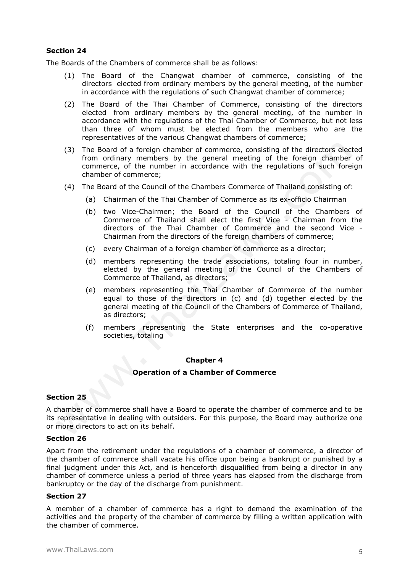The Boards of the Chambers of commerce shall be as follows:

- (1) The Board of the Changwat chamber of commerce, consisting of the directors elected from ordinary members by the general meeting, of the number in accordance with the regulations of such Changwat chamber of commerce;
- (2) The Board of the Thai Chamber of Commerce, consisting of the directors elected from ordinary members by the general meeting, of the number in accordance with the regulations of the Thai Chamber of Commerce, but not less than three of whom must be elected from the members who are the representatives of the various Changwat chambers of commerce;
- (3) The Board of a foreign chamber of commerce, consisting of the directors elected from ordinary members by the general meeting of the foreign chamber of commerce, of the number in accordance with the regulations of such foreign chamber of commerce;
- (4) The Board of the Council of the Chambers Commerce of Thailand consisting of:
	- (a) Chairman of the Thai Chamber of Commerce as its ex-officio Chairman
	- (b) two Vice-Chairmen; the Board of the Council of the Chambers of Commerce of Thailand shall elect the first Vice - Chairman from the directors of the Thai Chamber of Commerce and the second Vice - Chairman from the directors of the foreign chambers of commerce;
	- (c) every Chairman of a foreign chamber of commerce as a director;
	- (d) members representing the trade associations, totaling four in number, elected by the general meeting of the Council of the Chambers of Commerce of Thailand, as directors;
	- (e) members representing the Thai Chamber of Commerce of the number equal to those of the directors in (c) and (d) together elected by the general meeting of the Council of the Chambers of Commerce of Thailand, as directors;
	- (f) members representing the State enterprises and the co-operative societies, totaling

#### **Chapter 4**

#### **Operation of a Chamber of Commerce**

### **Section 25**

A chamber of commerce shall have a Board to operate the chamber of commerce and to be its representative in dealing with outsiders. For this purpose, the Board may authorize one or more directors to act on its behalf.

#### **Section 26**

Apart from the retirement under the regulations of a chamber of commerce, a director of the chamber of commerce shall vacate his office upon being a bankrupt or punished by a final judgment under this Act, and is henceforth disqualified from being a director in any chamber of commerce unless a period of three years has elapsed from the discharge from bankruptcy or the day of the discharge from punishment.

### **Section 27**

A member of a chamber of commerce has a right to demand the examination of the activities and the property of the chamber of commerce by filling a written application with the chamber of commerce.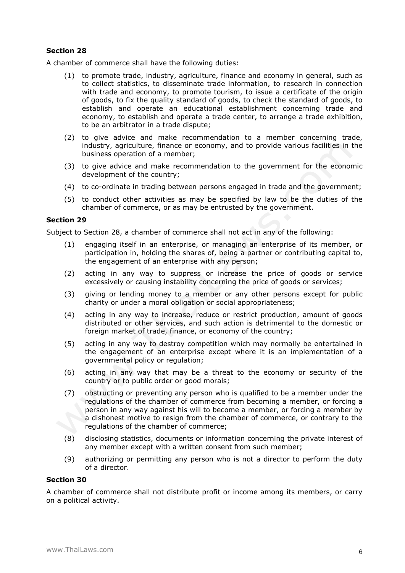A chamber of commerce shall have the following duties:

- (1) to promote trade, industry, agriculture, finance and economy in general, such as to collect statistics, to disseminate trade information, to research in connection with trade and economy, to promote tourism, to issue a certificate of the origin of goods, to fix the quality standard of goods, to check the standard of goods, to establish and operate an educational establishment concerning trade and economy, to establish and operate a trade center, to arrange a trade exhibition, to be an arbitrator in a trade dispute;
- (2) to give advice and make recommendation to a member concerning trade, industry, agriculture, finance or economy, and to provide various facilities in the business operation of a member;
- (3) to give advice and make recommendation to the government for the economic development of the country;
- (4) to co-ordinate in trading between persons engaged in trade and the government;
- (5) to conduct other activities as may be specified by law to be the duties of the chamber of commerce, or as may be entrusted by the government.

### **Section 29**

Subject to Section 28, a chamber of commerce shall not act in any of the following:

- (1) engaging itself in an enterprise, or managing an enterprise of its member, or participation in, holding the shares of, being a partner or contributing capital to, the engagement of an enterprise with any person;
- (2) acting in any way to suppress or increase the price of goods or service excessively or causing instability concerning the price of goods or services;
- (3) giving or lending money to a member or any other persons except for public charity or under a moral obligation or social appropriateness;
- (4) acting in any way to increase, reduce or restrict production, amount of goods distributed or other services, and such action is detrimental to the domestic or foreign market of trade, finance, or economy of the country;
- (5) acting in any way to destroy competition which may normally be entertained in the engagement of an enterprise except where it is an implementation of a governmental policy or regulation;
- (6) acting in any way that may be a threat to the economy or security of the country or to public order or good morals;
- (7) obstructing or preventing any person who is qualified to be a member under the regulations of the chamber of commerce from becoming a member, or forcing a person in any way against his will to become a member, or forcing a member by a dishonest motive to resign from the chamber of commerce, or contrary to the regulations of the chamber of commerce;
- (8) disclosing statistics, documents or information concerning the private interest of any member except with a written consent from such member;
- (9) authorizing or permitting any person who is not a director to perform the duty of a director.

#### **Section 30**

A chamber of commerce shall not distribute profit or income among its members, or carry on a political activity.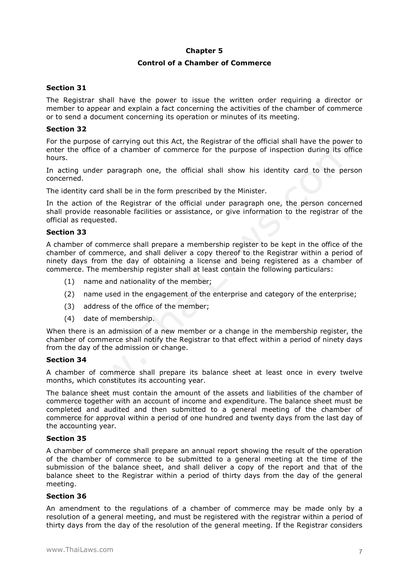### **Chapter 5**

### **Control of a Chamber of Commerce**

## **Section 31**

The Registrar shall have the power to issue the written order requiring a director or member to appear and explain a fact concerning the activities of the chamber of commerce or to send a document concerning its operation or minutes of its meeting.

### **Section 32**

For the purpose of carrying out this Act, the Registrar of the official shall have the power to enter the office of a chamber of commerce for the purpose of inspection during its office hours.

In acting under paragraph one, the official shall show his identity card to the person concerned.

The identity card shall be in the form prescribed by the Minister.

In the action of the Registrar of the official under paragraph one, the person concerned shall provide reasonable facilities or assistance, or give information to the registrar of the official as requested.

### **Section 33**

A chamber of commerce shall prepare a membership register to be kept in the office of the chamber of commerce, and shall deliver a copy thereof to the Registrar within a period of ninety days from the day of obtaining a license and being registered as a chamber of commerce. The membership register shall at least contain the following particulars:

- (1) name and nationality of the member;
- (2) name used in the engagement of the enterprise and category of the enterprise;
- (3) address of the office of the member;
- (4) date of membership.

When there is an admission of a new member or a change in the membership register, the chamber of commerce shall notify the Registrar to that effect within a period of ninety days from the day of the admission or change.

### **Section 34**

A chamber of commerce shall prepare its balance sheet at least once in every twelve months, which constitutes its accounting year.

The balance sheet must contain the amount of the assets and liabilities of the chamber of commerce together with an account of income and expenditure. The balance sheet must be completed and audited and then submitted to a general meeting of the chamber of commerce for approval within a period of one hundred and twenty days from the last day of the accounting year.

### **Section 35**

A chamber of commerce shall prepare an annual report showing the result of the operation of the chamber of commerce to be submitted to a general meeting at the time of the submission of the balance sheet, and shall deliver a copy of the report and that of the balance sheet to the Registrar within a period of thirty days from the day of the general meeting.

### **Section 36**

An amendment to the regulations of a chamber of commerce may be made only by a resolution of a general meeting, and must be registered with the registrar within a period of thirty days from the day of the resolution of the general meeting. If the Registrar considers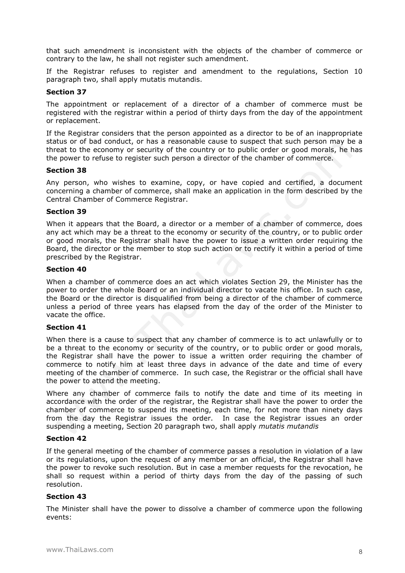that such amendment is inconsistent with the objects of the chamber of commerce or contrary to the law, he shall not register such amendment.

If the Registrar refuses to register and amendment to the regulations, Section 10 paragraph two, shall apply mutatis mutandis.

### **Section 37**

The appointment or replacement of a director of a chamber of commerce must be registered with the registrar within a period of thirty days from the day of the appointment or replacement.

If the Registrar considers that the person appointed as a director to be of an inappropriate status or of bad conduct, or has a reasonable cause to suspect that such person may be a threat to the economy or security of the country or to public order or good morals, he has the power to refuse to register such person a director of the chamber of commerce.

### **Section 38**

Any person, who wishes to examine, copy, or have copied and certified, a document concerning a chamber of commerce, shall make an application in the form described by the Central Chamber of Commerce Registrar.

### **Section 39**

When it appears that the Board, a director or a member of a chamber of commerce, does any act which may be a threat to the economy or security of the country, or to public order or good morals, the Registrar shall have the power to issue a written order requiring the Board, the director or the member to stop such action or to rectify it within a period of time prescribed by the Registrar.

### **Section 40**

When a chamber of commerce does an act which violates Section 29, the Minister has the power to order the whole Board or an individual director to vacate his office. In such case, the Board or the director is disqualified from being a director of the chamber of commerce unless a period of three years has elapsed from the day of the order of the Minister to vacate the office.

### **Section 41**

When there is a cause to suspect that any chamber of commerce is to act unlawfully or to be a threat to the economy or security of the country, or to public order or good morals, the Registrar shall have the power to issue a written order requiring the chamber of commerce to notify him at least three days in advance of the date and time of every meeting of the chamber of commerce. In such case, the Registrar or the official shall have the power to attend the meeting.

Where any chamber of commerce fails to notify the date and time of its meeting in accordance with the order of the registrar, the Registrar shall have the power to order the chamber of commerce to suspend its meeting, each time, for not more than ninety days from the day the Registrar issues the order. In case the Registrar issues an order suspending a meeting, Section 20 paragraph two, shall apply *mutatis mutandis*

### **Section 42**

If the general meeting of the chamber of commerce passes a resolution in violation of a law or its regulations, upon the request of any member or an official, the Registrar shall have the power to revoke such resolution. But in case a member requests for the revocation, he shall so request within a period of thirty days from the day of the passing of such resolution.

### **Section 43**

The Minister shall have the power to dissolve a chamber of commerce upon the following events: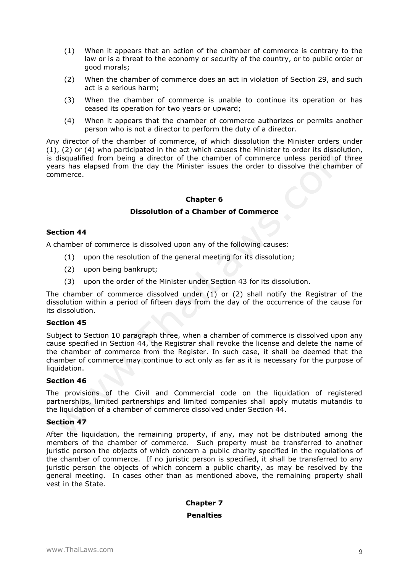- (1) When it appears that an action of the chamber of commerce is contrary to the law or is a threat to the economy or security of the country, or to public order or good morals;
- (2) When the chamber of commerce does an act in violation of Section 29, and such act is a serious harm;
- (3) When the chamber of commerce is unable to continue its operation or has ceased its operation for two years or upward;
- (4) When it appears that the chamber of commerce authorizes or permits another person who is not a director to perform the duty of a director.

Any director of the chamber of commerce, of which dissolution the Minister orders under (1), (2) or (4) who participated in the act which causes the Minister to order its dissolution, is disqualified from being a director of the chamber of commerce unless period of three years has elapsed from the day the Minister issues the order to dissolve the chamber of commerce.

### **Chapter 6**

### **Dissolution of a Chamber of Commerce**

### **Section 44**

A chamber of commerce is dissolved upon any of the following causes:

- (1) upon the resolution of the general meeting for its dissolution;
- (2) upon being bankrupt;
- (3) upon the order of the Minister under Section 43 for its dissolution.

The chamber of commerce dissolved under (1) or (2) shall notify the Registrar of the dissolution within a period of fifteen days from the day of the occurrence of the cause for its dissolution.

### **Section 45**

Subject to Section 10 paragraph three, when a chamber of commerce is dissolved upon any cause specified in Section 44, the Registrar shall revoke the license and delete the name of the chamber of commerce from the Register. In such case, it shall be deemed that the chamber of commerce may continue to act only as far as it is necessary for the purpose of liquidation.

### **Section 46**

The provisions of the Civil and Commercial code on the liquidation of registered partnerships, limited partnerships and limited companies shall apply mutatis mutandis to the liquidation of a chamber of commerce dissolved under Section 44.

### **Section 47**

After the liquidation, the remaining property, if any, may not be distributed among the members of the chamber of commerce. Such property must be transferred to another juristic person the objects of which concern a public charity specified in the regulations of the chamber of commerce. If no juristic person is specified, it shall be transferred to any juristic person the objects of which concern a public charity, as may be resolved by the general meeting. In cases other than as mentioned above, the remaining property shall vest in the State.

#### **Chapter 7**

#### **Penalties**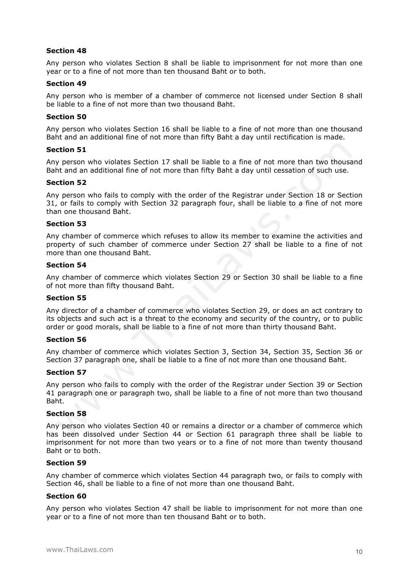Any person who violates Section 8 shall be liable to imprisonment for not more than one year or to a fine of not more than ten thousand Baht or to both.

#### **Section 49**

Any person who is member of a chamber of commerce not licensed under Section 8 shall be liable to a fine of not more than two thousand Baht.

#### **Section 50**

Any person who violates Section 16 shall be liable to a fine of not more than one thousand Baht and an additional fine of not more than fifty Baht a day until rectification is made.

#### **Section 51**

Any person who violates Section 17 shall be liable to a fine of not more than two thousand Baht and an additional fine of not more than fifty Baht a day until cessation of such use.

#### **Section 52**

Any person who fails to comply with the order of the Registrar under Section 18 or Section 31, or fails to comply with Section 32 paragraph four, shall be liable to a fine of not more than one thousand Baht.

#### **Section 53**

Any chamber of commerce which refuses to allow its member to examine the activities and property of such chamber of commerce under Section 27 shall be liable to a fine of not more than one thousand Baht.

#### **Section 54**

Any chamber of commerce which violates Section 29 or Section 30 shall be liable to a fine of not more than fifty thousand Baht.

### **Section 55**

Any director of a chamber of commerce who violates Section 29, or does an act contrary to its objects and such act is a threat to the economy and security of the country, or to public order or good morals, shall be liable to a fine of not more than thirty thousand Baht.

### **Section 56**

Any chamber of commerce which violates Section 3, Section 34, Section 35, Section 36 or Section 37 paragraph one, shall be liable to a fine of not more than one thousand Baht.

#### **Section 57**

Any person who fails to comply with the order of the Registrar under Section 39 or Section 41 paragraph one or paragraph two, shall be liable to a fine of not more than two thousand Baht.

### **Section 58**

Any person who violates Section 40 or remains a director or a chamber of commerce which has been dissolved under Section 44 or Section 61 paragraph three shall be liable to imprisonment for not more than two years or to a fine of not more than twenty thousand Baht or to both.

#### **Section 59**

Any chamber of commerce which violates Section 44 paragraph two, or fails to comply with Section 46, shall be liable to a fine of not more than one thousand Baht.

### **Section 60**

Any person who violates Section 47 shall be liable to imprisonment for not more than one year or to a fine of not more than ten thousand Baht or to both.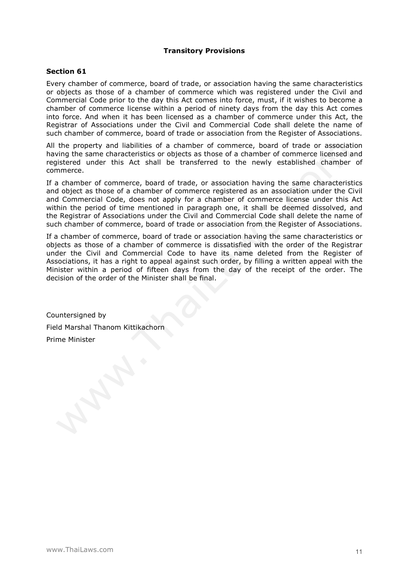### **Transitory Provisions**

### **Section 61**

Every chamber of commerce, board of trade, or association having the same characteristics or objects as those of a chamber of commerce which was registered under the Civil and Commercial Code prior to the day this Act comes into force, must, if it wishes to become a chamber of commerce license within a period of ninety days from the day this Act comes into force. And when it has been licensed as a chamber of commerce under this Act, the Registrar of Associations under the Civil and Commercial Code shall delete the name of such chamber of commerce, board of trade or association from the Register of Associations.

All the property and liabilities of a chamber of commerce, board of trade or association having the same characteristics or objects as those of a chamber of commerce licensed and registered under this Act shall be transferred to the newly established chamber of commerce.

If a chamber of commerce, board of trade, or association having the same characteristics and object as those of a chamber of commerce registered as an association under the Civil and Commercial Code, does not apply for a chamber of commerce license under this Act within the period of time mentioned in paragraph one, it shall be deemed dissolved, and the Registrar of Associations under the Civil and Commercial Code shall delete the name of such chamber of commerce, board of trade or association from the Register of Associations.

If a chamber of commerce, board of trade or association having the same characteristics or objects as those of a chamber of commerce is dissatisfied with the order of the Registrar under the Civil and Commercial Code to have its name deleted from the Register of Associations, it has a right to appeal against such order, by filling a written appeal with the Minister within a period of fifteen days from the day of the receipt of the order. The decision of the order of the Minister shall be final.

Countersigned by Field Marshal Thanom Kittikachorn Prime Minister